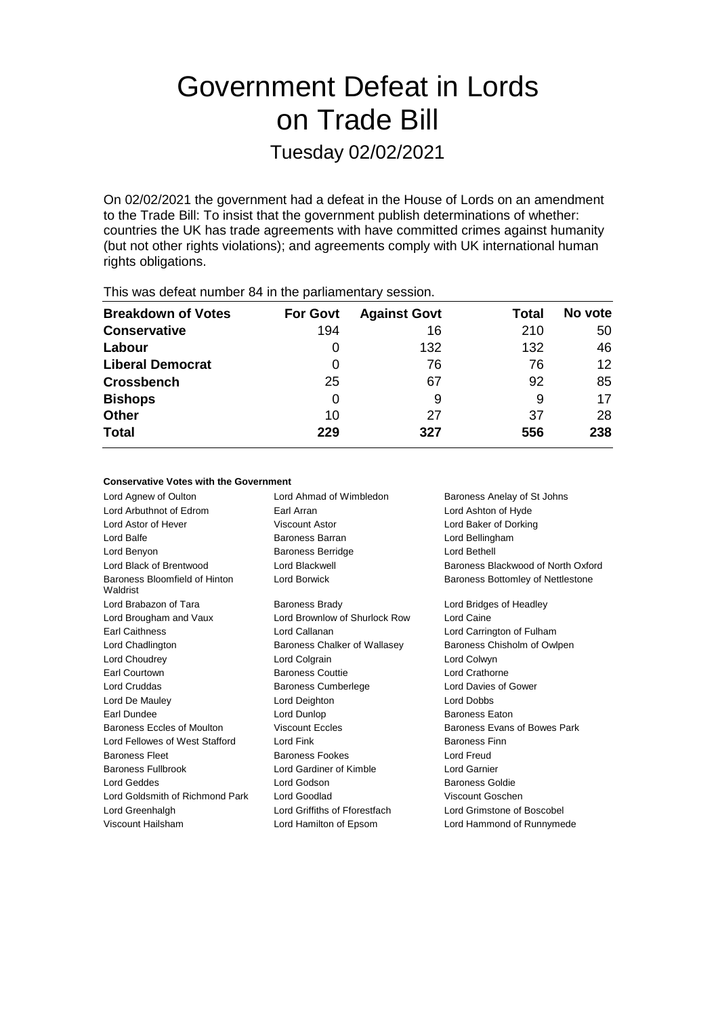# Government Defeat in Lords on Trade Bill

Tuesday 02/02/2021

On 02/02/2021 the government had a defeat in the House of Lords on an amendment to the Trade Bill: To insist that the government publish determinations of whether: countries the UK has trade agreements with have committed crimes against humanity (but not other rights violations); and agreements comply with UK international human rights obligations.

| This was acreat humbor of in the parliamentary occolor. |                 |                     |       |                 |  |  |
|---------------------------------------------------------|-----------------|---------------------|-------|-----------------|--|--|
| <b>Breakdown of Votes</b>                               | <b>For Govt</b> | <b>Against Govt</b> | Total | No vote         |  |  |
| <b>Conservative</b>                                     | 194             | 16                  | 210   | 50              |  |  |
| Labour                                                  | O               | 132                 | 132   | 46              |  |  |
| <b>Liberal Democrat</b>                                 | 0               | 76                  | 76    | 12 <sup>2</sup> |  |  |
| <b>Crossbench</b>                                       | 25              | 67                  | 92    | 85              |  |  |
| <b>Bishops</b>                                          | 0               | 9                   | 9     | 17              |  |  |
| <b>Other</b>                                            | 10              | 27                  | 37    | 28              |  |  |
| <b>Total</b>                                            | 229             | 327                 | 556   | 238             |  |  |
|                                                         |                 |                     |       |                 |  |  |

This was defeat number 84 in the parliamentary session.

## **Conservative Votes with the Government**

Lord Agnew of Oulton **Lord Ahmad of Wimbledon** Baroness Anelay of St Johns Lord Arbuthnot of Edrom Earl Arran Lord Ashton of Hyde Lord Astor of Hever Viscount Astor Lord Baker of Dorking Lord Balfe Baroness Barran Lord Bellingham Lord Benyon **Baroness Berridge** Lord Bethell **Lord Bethell** Lord Black of Brentwood Lord Blackwell Baroness Blackwood of North Oxford Baroness Bloomfield of Hinton Waldrist Lord Borwick **Baroness Bottomley of Nettlestone** Lord Brabazon of Tara **Baroness Brady Communist Cord Bridges of Headley** Lord Brougham and Vaux Lord Brownlow of Shurlock Row Lord Caine Earl Caithness Lord Callanan Lord Carrington of Fulham Lord Chadlington **Baroness Chalker of Wallasey** Baroness Chisholm of Owlpen Lord Choudrey Lord Colgrain Lord Colwyn Earl Courtown **Baroness Couttie Community Court Crathorne** Lord Cruddas **Baroness Cumberlege** Lord Davies of Gower Lord De Mauley Lord Deighton Lord Dobbs Earl Dundee Lord Dunlop Baroness Eaton Baroness Eccles of Moulton Viscount Eccles Baroness Evans of Bowes Park Lord Fellowes of West Stafford Lord Fink **Baroness Finn** Baroness Fleet **Baroness Fookes** Baroness Fookes Lord Freud Baroness Fullbrook Lord Gardiner of Kimble Lord Garnier Lord Geddes Lord Godson Baroness Goldie Lord Goldsmith of Richmond Park Lord Goodlad Viscount Goschen Lord Greenhalgh Lord Griffiths of Fforestfach Lord Grimstone of Boscobel Viscount Hailsham Lord Hamilton of Epsom Lord Hammond of Runnymede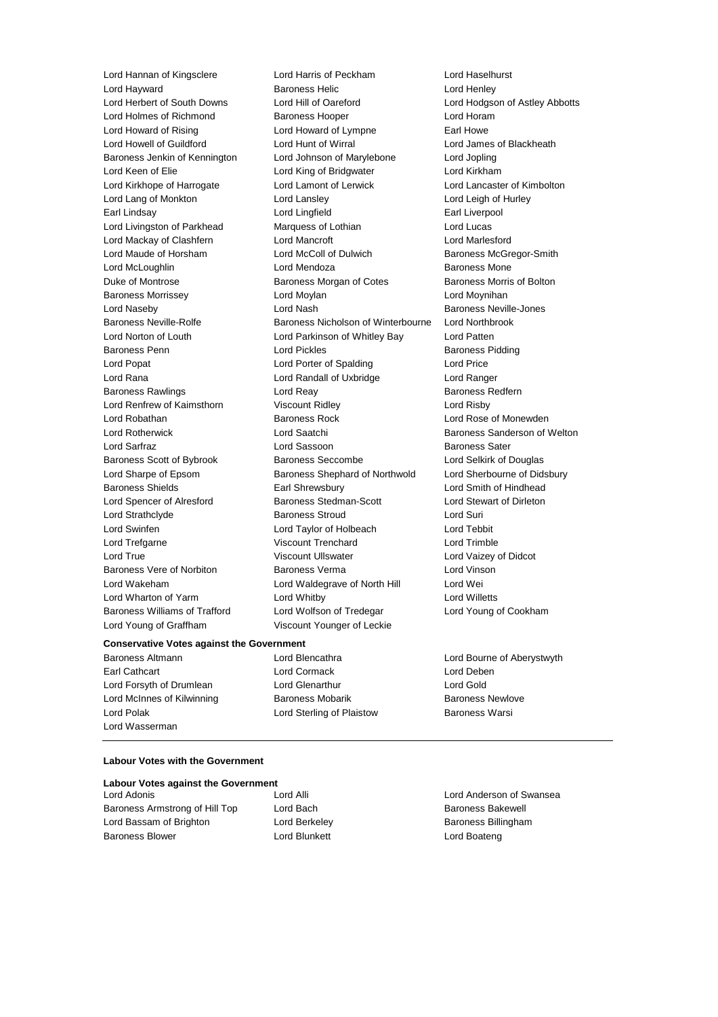Lord Young of Graffham Viscount Younger of Leckie

Lord Hannan of Kingsclere Lord Harris of Peckham Lord Haselhurst Lord Hayward **Baroness Helic** Lord Henley<br>
Lord Herbert of South Downs Lord Hill of Oareford **Lord Hotage Lord Hodas** Lord Herbert of South Downs Lord Hill of Oareford Lord Hodgson of Astley Abbotts Lord Holmes of Richmond Baroness Hooper Lord Horam Lord Howard of Rising **Lord Howard of Lympne** Earl Howe Lord Howell of Guildford Lord Hunt of Wirral Lord James of Blackheath Baroness Jenkin of Kennington Lord Johnson of Marylebone Lord Jopling Lord Keen of Elie **Lord King of Bridgwater** Lord Kirkham Lord Kirkhope of Harrogate Lord Lamont of Lerwick Lord Lancaster of Kimbolton Lord Lang of Monkton Lord Lansley Lord Leigh of Hurley Earl Lindsay **Lord Lingfield** Earl Liverpool Lord Lingfield Earl Liverpool Lord Livingston of Parkhead Marquess of Lothian Marchanness Cord Lucas Lord Mackay of Clashfern Lord Mancroft Lord Mancroft Lord Marlesford Lord Maude of Horsham Lord McColl of Dulwich Baroness McGregor-Smith Lord McLoughlin Lord Mendoza Baroness Mone Duke of Montrose **Baroness Morgan of Cotes** Baroness Morris of Bolton Baroness Morrissey **Lord Moylan** Lord Moylan **Lord Moylan** Lord Moynihan Lord Naseby **Lord Nash Baroness Neville-Jones** Lord Nash Baroness Neville-Jones Baroness Neville-Rolfe **Baroness Nicholson of Winterbourne** Lord Northbrook Lord Norton of Louth Lord Parkinson of Whitley Bay Lord Patten Baroness Penn Lord Pickles Baroness Pidding Lord Popat Lord Porter of Spalding Lord Price Lord Rana Lord Randall of Uxbridge Lord Ranger Baroness Rawlings **Baroness Redfern** Lord Reay **Baroness Redfern** Lord Renfrew of Kaimsthorn Viscount Ridley Cord Risby Lord Robathan Baroness Rock Lord Rose of Monewden Lord Rotherwick **Lord Saatchi** Baroness Sanderson of Welton Lord Sarfraz Lord Sassoon Baroness Sater Baroness Scott of Bybrook Baroness Seccombe Lord Selkirk of Douglas Lord Sharpe of Epsom Baroness Shephard of Northwold Lord Sherbourne of Didsbury Baroness Shields Earl Shrewsbury Lord Smith of Hindhead Lord Spencer of Alresford Baroness Stedman-Scott Lord Stewart of Dirleton Lord Strathclyde Baroness Stroud Lord Suri Lord Swinfen Lord Taylor of Holbeach Lord Tebbit Lord Trefgarne Viscount Trenchard Lord Trimble Lord True Viscount Ullswater Lord Vaizey of Didcot Baroness Vere of Norbiton Baroness Verma Lord Vinson Lord Wakeham Lord Waldegrave of North Hill Lord Wei Lord Wharton of Yarm Lord Whitby Lord Willetts Baroness Williams of Trafford Lord Wolfson of Tredegar Lord Young of Cookham

#### **Conservative Votes against the Government**

Earl Cathcart Lord Cormack Lord Deben Lord Forsyth of Drumlean Lord Glenarthur Lord Gold Lord McInnes of Kilwinning **Baroness Mobarik Baroness Newlove** Baroness Newlove Lord Polak Lord Sterling of Plaistow Baroness Warsi Lord Wasserman

Baroness Altmann **Lord Blencathra** Lord Bourne of Aberystwyth

## **Labour Votes with the Government**

|             |  |  | Labour Votes against the Government |            |  |
|-------------|--|--|-------------------------------------|------------|--|
| Lord Adonis |  |  |                                     | I ord Alli |  |

| Lora Adonis                    | Lord Alli     | Lord Andersol         |
|--------------------------------|---------------|-----------------------|
| Baroness Armstrong of Hill Top | Lord Bach     | <b>Baroness Bak</b>   |
| Lord Bassam of Brighton        | Lord Berkeley | <b>Baroness Billi</b> |
| Baroness Blower                | Lord Blunkett | Lord Boateng          |

Lord Anderson of Swansea rd Bach **Baroness Bakewell** rd Berkeley **Communist Baroness Billingham**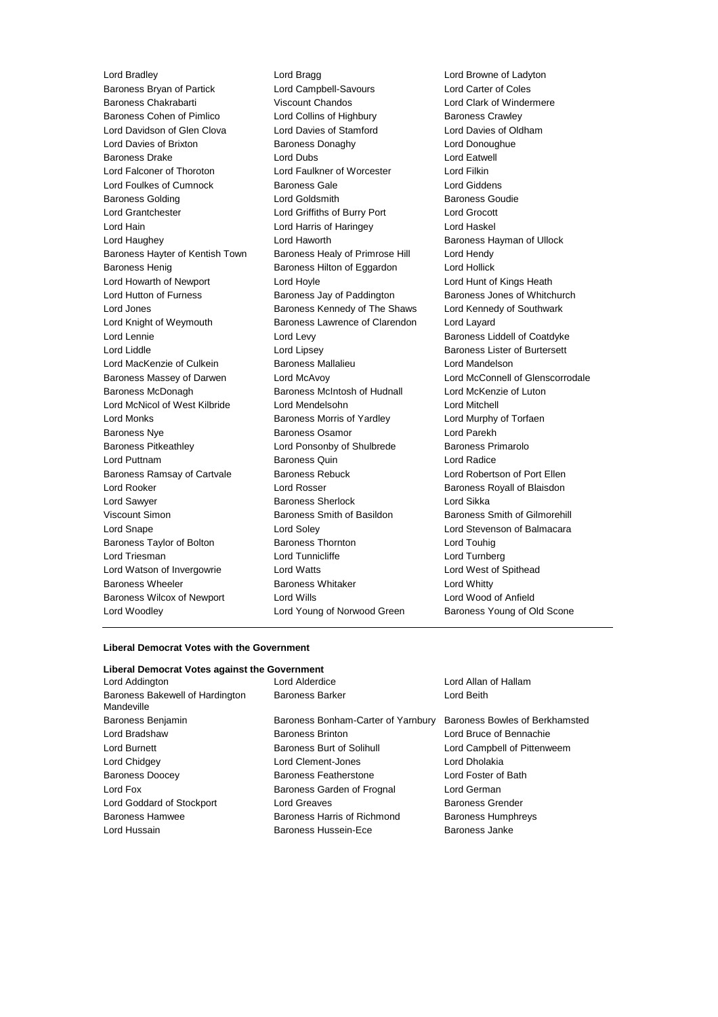Baroness Bryan of Partick Lord Campbell-Savours Lord Carter of Coles<br>
Baroness Chakrabarti Chandos Chandos Lord Clark of Winder Baroness Cohen of Pimlico **Lord Collins of Highbury** Baroness Crawley Lord Davidson of Glen Clova Lord Davies of Stamford Lord Davies of Oldham Lord Davies of Brixton **Baroness Donaghy Lord Donoughue** Baroness Drake Lord Dubs Lord Eatwell Lord Falconer of Thoroton Lord Faulkner of Worcester Lord Filkin Lord Foulkes of Cumnock Baroness Golding **Collect Contains Containers** Lord Goldsmith **Baroness Goudie** Lord Grantchester Lord Griffiths of Burry Port Lord Grocott Lord Hain Lord Harris of Haringey Lord Haskel Lord Haughey Lord Haworth Baroness Hayman of Ullock Baroness Hayter of Kentish Town Baroness Healy of Primrose Hill Lord Hendy Baroness Henig Baroness Hilton of Eggardon Lord Hollick Lord Howarth of Newport Lord Hoyle Lord Hunt of Kings Heath Lord Hutton of Furness **Baroness Jay of Paddington** Baroness Jones of Whitchurch Lord Jones **Baroness Kennedy of The Shaws** Lord Kennedy of Southwark Lord Knight of Weymouth Baroness Lawrence of Clarendon Lord Layard Lord Lennie **Lord Levy** Lord Levy **Baroness Liddell of Coatdyke** Lord Liddle Lord Lipsey Baroness Lister of Burtersett Lord MacKenzie of Culkein **Baroness Mallalieu** Lord Mandelson Baroness Massey of Darwen Lord McAvoy Lord McConnell of Glenscorrodale Baroness McDonagh Baroness McIntosh of Hudnall Lord McKenzie of Luton Lord McNicol of West Kilbride Lord Mendelsohn Lord Mitchell Lord Monks Baroness Morris of Yardley Lord Murphy of Torfaen Baroness Nye Baroness Osamor Lord Parekh Baroness Pitkeathley Lord Ponsonby of Shulbrede Baroness Primarolo Lord Puttnam Baroness Quin Lord Radice Baroness Ramsay of Cartvale Baroness Rebuck Lord Robertson of Port Ellen Lord Rooker **Lord Rosser** Lord Rosser **Baroness Royall of Blaisdon Lord Sawyer Communist Communist Communist Sherlock** Corresponding the Lord Sikka Viscount Simon **Baroness Smith of Basildon** Baroness Smith of Gilmorehill Lord Snape Lord Soley Lord Stevenson of Balmacara Baroness Taylor of Bolton Baroness Thornton Lord Touhig Lord Triesman Lord Tunnicliffe Lord Turnberg Lord Watson of Invergowrie Lord Watts Lord West of Spithead Baroness Wheeler **Baroness Whitaker** Lord Whitty Baroness Wilcox of Newport Lord Wills Lord Wood of Anfield Lord Woodley Lord Young of Norwood Green Baroness Young of Old Scone

Lord Bradley Lord Bragg Lord Browne of Ladyton Viscount Chandos **Chandos** Lord Clark of Windermere

## **Liberal Democrat Votes with the Government**

| Liberal Democrat Votes against the Government |                                    |                                |  |  |  |
|-----------------------------------------------|------------------------------------|--------------------------------|--|--|--|
| Lord Addington                                | Lord Alderdice                     | Lord Allan of Hallam           |  |  |  |
| Baroness Bakewell of Hardington<br>Mandeville | <b>Baroness Barker</b>             | Lord Beith                     |  |  |  |
| Baroness Benjamin                             | Baroness Bonham-Carter of Yarnbury | Baroness Bowles of Berkhamsted |  |  |  |
| Lord Bradshaw                                 | <b>Baroness Brinton</b>            | Lord Bruce of Bennachie        |  |  |  |
| Lord Burnett                                  | Baroness Burt of Solihull          | Lord Campbell of Pittenweem    |  |  |  |
| Lord Chidgey                                  | Lord Clement-Jones                 | Lord Dholakia                  |  |  |  |
| <b>Baroness Doocey</b>                        | Baroness Featherstone              | Lord Foster of Bath            |  |  |  |
| Lord Fox                                      | Baroness Garden of Frognal         | Lord German                    |  |  |  |
| Lord Goddard of Stockport                     | Lord Greaves                       | <b>Baroness Grender</b>        |  |  |  |
| Baroness Hamwee                               | Baroness Harris of Richmond        | <b>Baroness Humphreys</b>      |  |  |  |
| Lord Hussain                                  | Baroness Hussein-Ece               | Baroness Janke                 |  |  |  |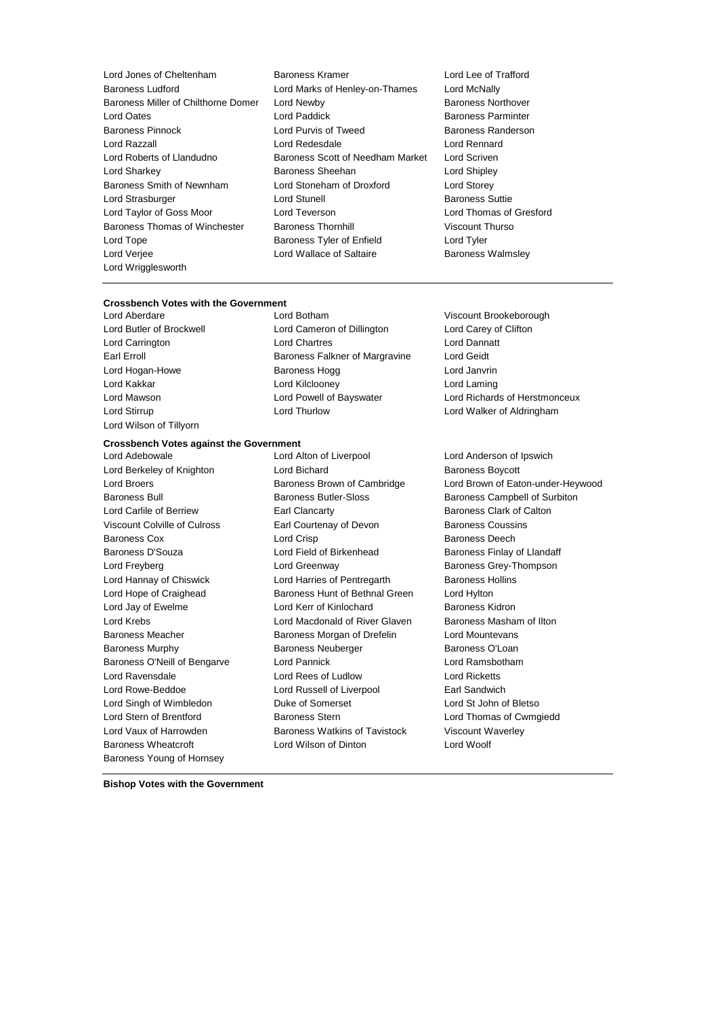- Baroness Ludford Lord Marks of Henley-on-Thames Lord McNally Baroness Miller of Chilthorne Domer Lord Newby **Baroness Northover** Baroness Northover Lord Oates **Lord Paddick** Baroness Parminter Baroness Pinnock Lord Purvis of Tweed Baroness Randerson Lord Razzall Lord Redesdale Lord Rennard Lord Roberts of Llandudno Baroness Scott of Needham Market Lord Scriven Lord Sharkey Baroness Sheehan Lord Shipley Baroness Smith of Newnham Lord Stoneham of Droxford Lord Storey Lord Strasburger The Lord Stunell Baroness Suttie Lord Taylor of Goss Moor Lord Teverson Lord Thomas of Gresford Baroness Thomas of Winchester Baroness Thornhill Viscount Thurso Lord Tope **Baroness Tyler of Enfield** Lord Tyler **Lord Tyler** Lord Verjee Lord Wallace of Saltaire Baroness Walmsley Lord Wrigglesworth
- Lord Jones of Cheltenham Baroness Kramer Lord Lee of Trafford

## **Crossbench Votes with the Government**

Lord Wilson of Tillyorn

## **Crossbench Votes against the Government**

Lord Berkeley of Knighton **Lord Bichard Baroness Boycott** Baroness Bull Baroness Butler-Sloss Baroness Campbell of Surbiton Lord Carlile of Berriew **Earl Clancarty Earl Clancarty** Baroness Clark of Calton Viscount Colville of Culross Earl Courtenay of Devon Baroness Coussins **Baroness Cox Lord Crisp Baroness Deech** Baroness D'Souza **Lord Field of Birkenhead** Baroness Finlay of Llandaff Lord Freyberg **Lord Greenway Lord Greenway** Baroness Grey-Thompson Lord Hannay of Chiswick Lord Harries of Pentregarth Baroness Hollins Lord Hope of Craighead Baroness Hunt of Bethnal Green Lord Hylton Lord Jay of Ewelme Lord Kerr of Kinlochard Baroness Kidron Lord Krebs **Lord Macdonald of River Glaven** Baroness Masham of Ilton Baroness Meacher Baroness Morgan of Drefelin Lord Mountevans Baroness Murphy **Baroness Neuberger** Baroness O'Loan Baroness O'Neill of Bengarve Lord Pannick Lord Teamsbotham Lord Ravensdale Lord Rees of Ludlow Lord Ricketts Lord Rowe-Beddoe Lord Russell of Liverpool Earl Sandwich Lord Singh of Wimbledon Duke of Somerset Lord St John of Bletso Lord Stern of Brentford Baroness Stern Lord Thomas of Cwmgiedd Lord Vaux of Harrowden Baroness Watkins of Tavistock Viscount Waverley Baroness Wheatcroft Lord Wilson of Dinton Lord Woolf Baroness Young of Hornsey

- Lord Aberdare Lord Botham Viscount Brookeborough Lord Butler of Brockwell Lord Cameron of Dillington Lord Carey of Clifton Lord Carrington Lord Chartres Lord Dannatt Earl Erroll **Example 20** Early Baroness Falkner of Margravine Lord Geidt Lord Hogan-Howe **Baroness Hogg Lord Janvrin** Lord Kakkar Lord Kilclooney Lord Laming Lord Mawson Lord Powell of Bayswater Lord Richards of Herstmonceux Lord Stirrup Lord Thurlow Lord Walker of Aldringham
- Lord Adebowale Lord Alton of Liverpool Lord Anderson of Ipswich
- 

Lord Broers Baroness Brown of Cambridge Lord Brown of Eaton-under-Heywood

**Bishop Votes with the Government**